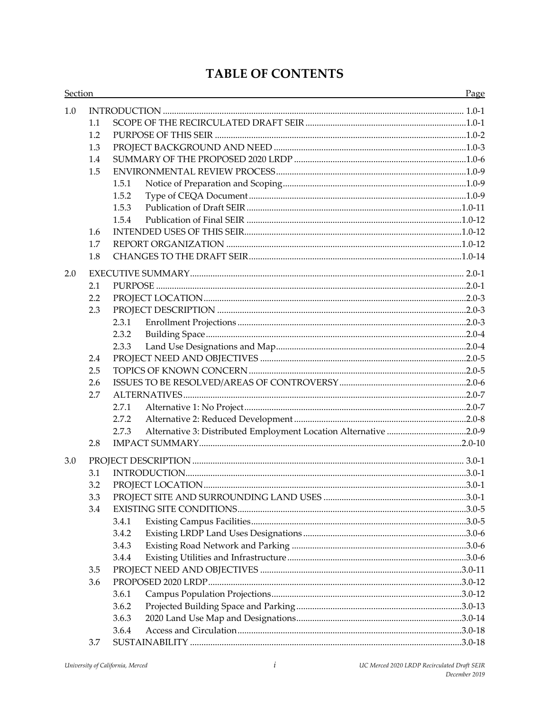# **TABLE OF CONTENTS**

| Section |     | <u> 1989 - Johann Stoff, amerikansk politiker (* 1908)</u>                | Page |
|---------|-----|---------------------------------------------------------------------------|------|
| 1.0     |     |                                                                           |      |
|         | 1.1 |                                                                           |      |
|         | 1.2 |                                                                           |      |
|         | 1.3 |                                                                           |      |
|         | 1.4 |                                                                           |      |
|         | 1.5 |                                                                           |      |
|         |     | 1.5.1                                                                     |      |
|         |     | 1.5.2                                                                     |      |
|         |     | 1.5.3                                                                     |      |
|         |     | 1.5.4                                                                     |      |
|         | 1.6 |                                                                           |      |
|         | 1.7 |                                                                           |      |
|         | 1.8 |                                                                           |      |
| 2.0     |     |                                                                           |      |
|         | 2.1 |                                                                           |      |
|         | 2.2 |                                                                           |      |
|         | 2.3 |                                                                           |      |
|         |     | 2.3.1                                                                     |      |
|         |     | 2.3.2                                                                     |      |
|         |     | 2.3.3                                                                     |      |
|         | 2.4 |                                                                           |      |
|         | 2.5 |                                                                           |      |
|         | 2.6 |                                                                           |      |
|         | 2.7 |                                                                           |      |
|         |     | 2.7.1                                                                     |      |
|         |     | 2.7.2                                                                     |      |
|         |     | Alternative 3: Distributed Employment Location Alternative 2.0-9<br>2.7.3 |      |
|         | 2.8 |                                                                           |      |
| 3.0     |     |                                                                           |      |
|         | 3.1 |                                                                           |      |
|         | 3.2 |                                                                           |      |
|         | 3.3 |                                                                           |      |
|         | 3.4 |                                                                           |      |
|         |     | 3.4.1                                                                     |      |
|         |     | 3.4.2                                                                     |      |
|         |     | 3.4.3                                                                     |      |
|         |     | 3.4.4                                                                     |      |
|         | 3.5 |                                                                           |      |
|         | 3.6 |                                                                           |      |
|         |     | 3.6.1                                                                     |      |
|         |     | 3.6.2                                                                     |      |
|         |     | 3.6.3                                                                     |      |
|         |     | 3.6.4                                                                     |      |
|         | 3.7 |                                                                           |      |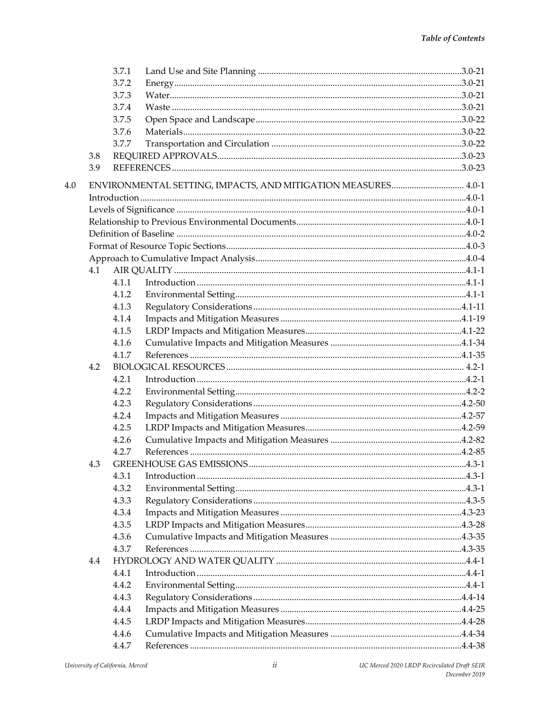|     |     | 3.7.1 |                                                               |  |
|-----|-----|-------|---------------------------------------------------------------|--|
|     |     | 3.7.2 |                                                               |  |
|     |     | 3.7.3 |                                                               |  |
|     |     | 3.7.4 |                                                               |  |
|     |     | 3.7.5 |                                                               |  |
|     |     | 3.7.6 |                                                               |  |
|     |     | 3.7.7 |                                                               |  |
|     | 3.8 |       |                                                               |  |
|     | 3.9 |       |                                                               |  |
| 4.0 |     |       | ENVIRONMENTAL SETTING, IMPACTS, AND MITIGATION MEASURES 4.0-1 |  |
|     |     |       |                                                               |  |
|     |     |       |                                                               |  |
|     |     |       |                                                               |  |
|     |     |       |                                                               |  |
|     |     |       |                                                               |  |
|     |     |       |                                                               |  |
|     | 4.1 |       |                                                               |  |
|     |     | 4.1.1 |                                                               |  |
|     |     | 4.1.2 |                                                               |  |
|     |     | 4.1.3 |                                                               |  |
|     |     | 4.1.4 |                                                               |  |
|     |     | 4.1.5 |                                                               |  |
|     |     | 4.1.6 |                                                               |  |
|     |     | 4.1.7 |                                                               |  |
|     | 4.2 |       |                                                               |  |
|     |     | 4.2.1 |                                                               |  |
|     |     | 4.2.2 |                                                               |  |
|     |     | 4.2.3 |                                                               |  |
|     |     | 4.2.4 |                                                               |  |
|     |     | 4.2.5 |                                                               |  |
|     |     | 4.2.6 |                                                               |  |
|     |     | 4.2.7 |                                                               |  |
|     | 4.3 |       |                                                               |  |
|     |     | 4.3.1 |                                                               |  |
|     |     | 4.3.2 |                                                               |  |
|     |     | 4.3.3 |                                                               |  |
|     |     | 4.3.4 |                                                               |  |
|     |     | 4.3.5 |                                                               |  |
|     |     | 4.3.6 |                                                               |  |
|     |     | 4.3.7 |                                                               |  |
|     | 4.4 |       |                                                               |  |
|     |     | 4.4.1 |                                                               |  |
|     |     | 4.4.2 |                                                               |  |
|     |     | 4.4.3 |                                                               |  |
|     |     | 4.4.4 |                                                               |  |
|     |     | 4.4.5 |                                                               |  |
|     |     | 4.4.6 |                                                               |  |
|     |     | 4.4.7 |                                                               |  |
|     |     |       |                                                               |  |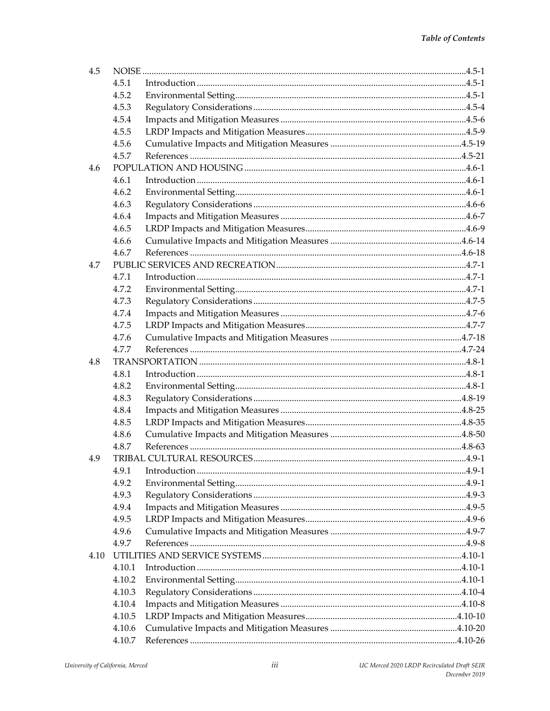| 4.5  |        |  |
|------|--------|--|
|      | 4.5.1  |  |
|      | 4.5.2  |  |
|      | 4.5.3  |  |
|      | 4.5.4  |  |
|      | 4.5.5  |  |
|      | 4.5.6  |  |
|      | 4.5.7  |  |
| 4.6  |        |  |
|      | 4.6.1  |  |
|      | 4.6.2  |  |
|      | 4.6.3  |  |
|      | 4.6.4  |  |
|      | 4.6.5  |  |
|      | 4.6.6  |  |
|      | 4.6.7  |  |
| 4.7  |        |  |
|      | 4.7.1  |  |
|      | 4.7.2  |  |
|      | 4.7.3  |  |
|      | 4.7.4  |  |
|      | 4.7.5  |  |
|      | 4.7.6  |  |
|      | 4.7.7  |  |
| 4.8  |        |  |
|      | 4.8.1  |  |
|      | 4.8.2  |  |
|      | 4.8.3  |  |
|      | 4.8.4  |  |
|      | 4.8.5  |  |
|      | 4.8.6  |  |
|      | 4.8.7  |  |
| 4.9  |        |  |
|      | 4.9.1  |  |
|      | 4.9.2  |  |
|      | 4.9.3  |  |
|      | 4.9.4  |  |
|      | 4.9.5  |  |
|      | 4.9.6  |  |
|      | 4.9.7  |  |
| 4.10 |        |  |
|      | 4.10.1 |  |
|      | 4.10.2 |  |
|      | 4.10.3 |  |
|      | 4.10.4 |  |
|      | 4.10.5 |  |
|      | 4.10.6 |  |
|      | 4.10.7 |  |
|      |        |  |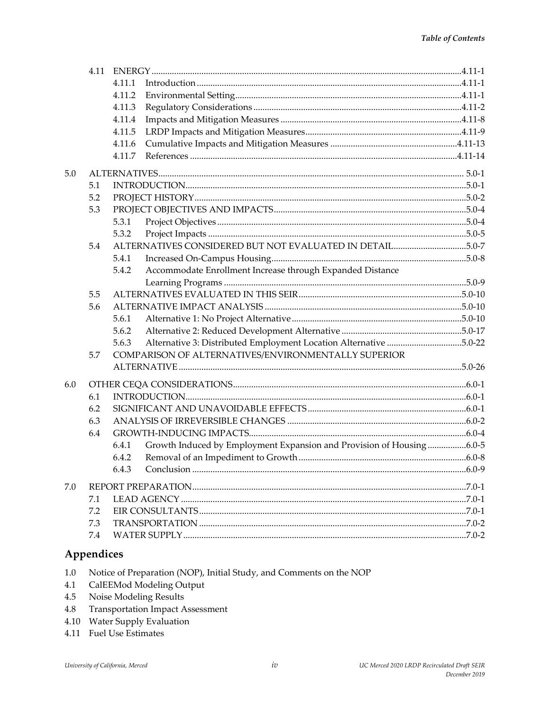|     |     | 4.11.1                                                                        |  |
|-----|-----|-------------------------------------------------------------------------------|--|
|     |     | 4.11.2                                                                        |  |
|     |     | 4.11.3                                                                        |  |
|     |     | 4.11.4                                                                        |  |
|     |     | 4.11.5                                                                        |  |
|     |     | 4.11.6                                                                        |  |
|     |     | 4.11.7                                                                        |  |
| 5.0 |     |                                                                               |  |
|     | 5.1 |                                                                               |  |
|     | 5.2 |                                                                               |  |
|     | 5.3 |                                                                               |  |
|     |     | 5.3.1                                                                         |  |
|     |     | 5.3.2                                                                         |  |
|     | 5.4 | ALTERNATIVES CONSIDERED BUT NOT EVALUATED IN DETAIL5.0-7                      |  |
|     |     | 5.4.1                                                                         |  |
|     |     | Accommodate Enrollment Increase through Expanded Distance<br>5.4.2            |  |
|     |     |                                                                               |  |
|     | 5.5 |                                                                               |  |
|     | 5.6 |                                                                               |  |
|     |     | 5.6.1                                                                         |  |
|     |     | 5.6.2                                                                         |  |
|     |     | Alternative 3: Distributed Employment Location Alternative 5.0-22<br>5.6.3    |  |
|     | 5.7 | COMPARISON OF ALTERNATIVES/ENVIRONMENTALLY SUPERIOR                           |  |
|     |     |                                                                               |  |
| 6.0 |     |                                                                               |  |
|     | 6.1 |                                                                               |  |
|     | 6.2 |                                                                               |  |
|     | 6.3 |                                                                               |  |
|     | 6.4 |                                                                               |  |
|     |     | Growth Induced by Employment Expansion and Provision of Housing6.0-5<br>6.4.1 |  |
|     |     | 6.4.2                                                                         |  |
|     |     | 6.4.3                                                                         |  |
|     |     |                                                                               |  |
| 7.0 |     |                                                                               |  |
|     | 7.1 |                                                                               |  |
|     | 7.2 |                                                                               |  |
|     | 7.3 |                                                                               |  |
|     | 7.4 |                                                                               |  |
|     |     |                                                                               |  |

#### Appendices

- Notice of Preparation (NOP), Initial Study, and Comments on the NOP  $1.0\,$
- CalEEMod Modeling Output 4.1
- 4.5 Noise Modeling Results
- **Transportation Impact Assessment** 4.8
- 4.10 Water Supply Evaluation
- 4.11 Fuel Use Estimates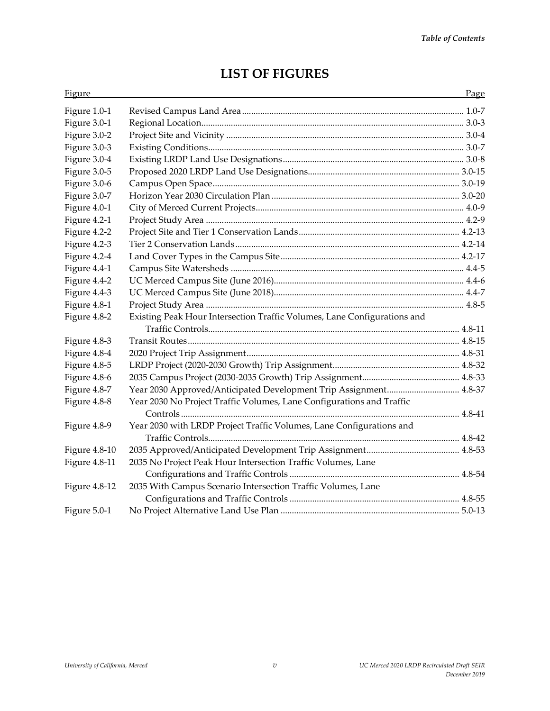| <b>Figure</b> |                                                                          | Page |
|---------------|--------------------------------------------------------------------------|------|
| Figure 1.0-1  |                                                                          |      |
| Figure 3.0-1  |                                                                          |      |
| Figure 3.0-2  |                                                                          |      |
| Figure 3.0-3  |                                                                          |      |
| Figure 3.0-4  |                                                                          |      |
| Figure 3.0-5  |                                                                          |      |
| Figure 3.0-6  |                                                                          |      |
| Figure 3.0-7  |                                                                          |      |
| Figure 4.0-1  |                                                                          |      |
| Figure 4.2-1  |                                                                          |      |
| Figure 4.2-2  |                                                                          |      |
| Figure 4.2-3  |                                                                          |      |
| Figure 4.2-4  |                                                                          |      |
| Figure 4.4-1  |                                                                          |      |
| Figure 4.4-2  |                                                                          |      |
| Figure 4.4-3  |                                                                          |      |
| Figure 4.8-1  |                                                                          |      |
| Figure 4.8-2  | Existing Peak Hour Intersection Traffic Volumes, Lane Configurations and |      |
|               |                                                                          |      |
| Figure 4.8-3  |                                                                          |      |
| Figure 4.8-4  |                                                                          |      |
| Figure 4.8-5  |                                                                          |      |
| Figure 4.8-6  |                                                                          |      |
| Figure 4.8-7  | Year 2030 Approved/Anticipated Development Trip Assignment 4.8-37        |      |
| Figure 4.8-8  | Year 2030 No Project Traffic Volumes, Lane Configurations and Traffic    |      |
|               |                                                                          |      |
| Figure 4.8-9  | Year 2030 with LRDP Project Traffic Volumes, Lane Configurations and     |      |
|               |                                                                          |      |
| Figure 4.8-10 |                                                                          |      |
| Figure 4.8-11 | 2035 No Project Peak Hour Intersection Traffic Volumes, Lane             |      |
|               |                                                                          |      |
| Figure 4.8-12 | 2035 With Campus Scenario Intersection Traffic Volumes, Lane             |      |
|               |                                                                          |      |
| Figure 5.0-1  |                                                                          |      |

# **LIST OF FIGURES**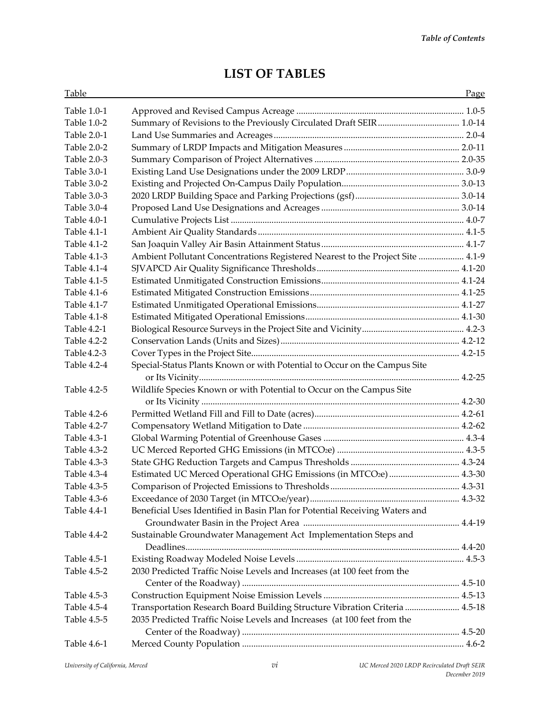## **LIST OF TABLES**

| Table       |                                                                                | Page |
|-------------|--------------------------------------------------------------------------------|------|
| Table 1.0-1 |                                                                                |      |
| Table 1.0-2 | Summary of Revisions to the Previously Circulated Draft SEIR 1.0-14            |      |
| Table 2.0-1 |                                                                                |      |
| Table 2.0-2 |                                                                                |      |
| Table 2.0-3 |                                                                                |      |
| Table 3.0-1 |                                                                                |      |
| Table 3.0-2 |                                                                                |      |
| Table 3.0-3 |                                                                                |      |
| Table 3.0-4 |                                                                                |      |
| Table 4.0-1 |                                                                                |      |
| Table 4.1-1 |                                                                                |      |
| Table 4.1-2 |                                                                                |      |
| Table 4.1-3 | Ambient Pollutant Concentrations Registered Nearest to the Project Site  4.1-9 |      |
| Table 4.1-4 |                                                                                |      |
| Table 4.1-5 |                                                                                |      |
| Table 4.1-6 |                                                                                |      |
| Table 4.1-7 |                                                                                |      |
| Table 4.1-8 |                                                                                |      |
| Table 4.2-1 |                                                                                |      |
| Table 4.2-2 |                                                                                |      |
| Table 4.2-3 |                                                                                |      |
| Table 4.2-4 | Special-Status Plants Known or with Potential to Occur on the Campus Site      |      |
|             |                                                                                |      |
| Table 4.2-5 | Wildlife Species Known or with Potential to Occur on the Campus Site           |      |
|             |                                                                                |      |
| Table 4.2-6 |                                                                                |      |
| Table 4.2-7 |                                                                                |      |
| Table 4.3-1 |                                                                                |      |
| Table 4.3-2 |                                                                                |      |
| Table 4.3-3 |                                                                                |      |
| Table 4.3-4 | Estimated UC Merced Operational GHG Emissions (in MTCO2e)  4.3-30              |      |
| Table 4.3-5 |                                                                                |      |
| Table 4.3-6 |                                                                                |      |
| Table 4.4-1 | Beneficial Uses Identified in Basin Plan for Potential Receiving Waters and    |      |
|             |                                                                                |      |
| Table 4.4-2 | Sustainable Groundwater Management Act Implementation Steps and                |      |
|             |                                                                                |      |
| Table 4.5-1 |                                                                                |      |
| Table 4.5-2 | 2030 Predicted Traffic Noise Levels and Increases (at 100 feet from the        |      |
|             |                                                                                |      |
| Table 4.5-3 |                                                                                |      |
| Table 4.5-4 | Transportation Research Board Building Structure Vibration Criteria  4.5-18    |      |
| Table 4.5-5 | 2035 Predicted Traffic Noise Levels and Increases (at 100 feet from the        |      |
|             |                                                                                |      |
| Table 4.6-1 |                                                                                |      |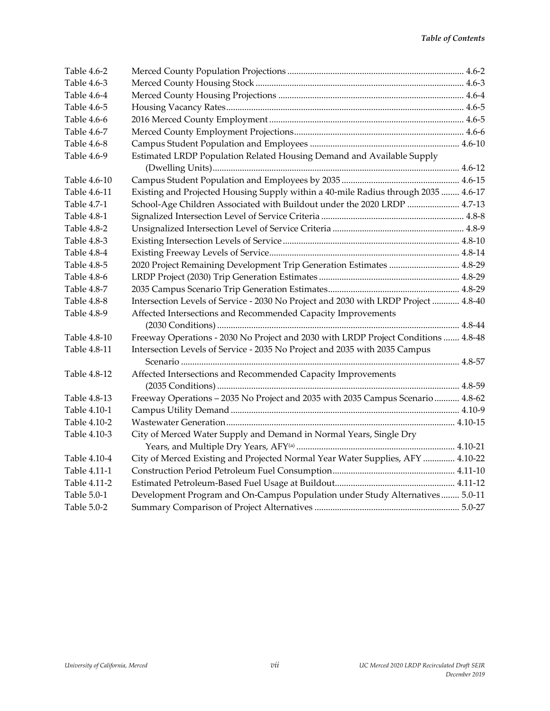| Table 4.6-2  |                                                                                     |  |
|--------------|-------------------------------------------------------------------------------------|--|
| Table 4.6-3  |                                                                                     |  |
| Table 4.6-4  |                                                                                     |  |
| Table 4.6-5  |                                                                                     |  |
| Table 4.6-6  |                                                                                     |  |
| Table 4.6-7  |                                                                                     |  |
| Table 4.6-8  |                                                                                     |  |
| Table 4.6-9  | Estimated LRDP Population Related Housing Demand and Available Supply               |  |
|              |                                                                                     |  |
| Table 4.6-10 |                                                                                     |  |
| Table 4.6-11 | Existing and Projected Housing Supply within a 40-mile Radius through 2035  4.6-17  |  |
| Table 4.7-1  | School-Age Children Associated with Buildout under the 2020 LRDP  4.7-13            |  |
| Table 4.8-1  |                                                                                     |  |
| Table 4.8-2  |                                                                                     |  |
| Table 4.8-3  |                                                                                     |  |
| Table 4.8-4  |                                                                                     |  |
| Table 4.8-5  | 2020 Project Remaining Development Trip Generation Estimates  4.8-29                |  |
| Table 4.8-6  |                                                                                     |  |
| Table 4.8-7  |                                                                                     |  |
| Table 4.8-8  | Intersection Levels of Service - 2030 No Project and 2030 with LRDP Project  4.8-40 |  |
| Table 4.8-9  | Affected Intersections and Recommended Capacity Improvements                        |  |
|              |                                                                                     |  |
| Table 4.8-10 | Freeway Operations - 2030 No Project and 2030 with LRDP Project Conditions  4.8-48  |  |
| Table 4.8-11 | Intersection Levels of Service - 2035 No Project and 2035 with 2035 Campus          |  |
|              |                                                                                     |  |
| Table 4.8-12 | Affected Intersections and Recommended Capacity Improvements                        |  |
|              |                                                                                     |  |
| Table 4.8-13 | Freeway Operations - 2035 No Project and 2035 with 2035 Campus Scenario  4.8-62     |  |
| Table 4.10-1 |                                                                                     |  |
| Table 4.10-2 |                                                                                     |  |
| Table 4.10-3 | City of Merced Water Supply and Demand in Normal Years, Single Dry                  |  |
|              |                                                                                     |  |
| Table 4.10-4 | City of Merced Existing and Projected Normal Year Water Supplies, AFY  4.10-22      |  |
| Table 4.11-1 |                                                                                     |  |
| Table 4.11-2 |                                                                                     |  |
| Table 5.0-1  | Development Program and On-Campus Population under Study Alternatives 5.0-11        |  |
| Table 5.0-2  |                                                                                     |  |